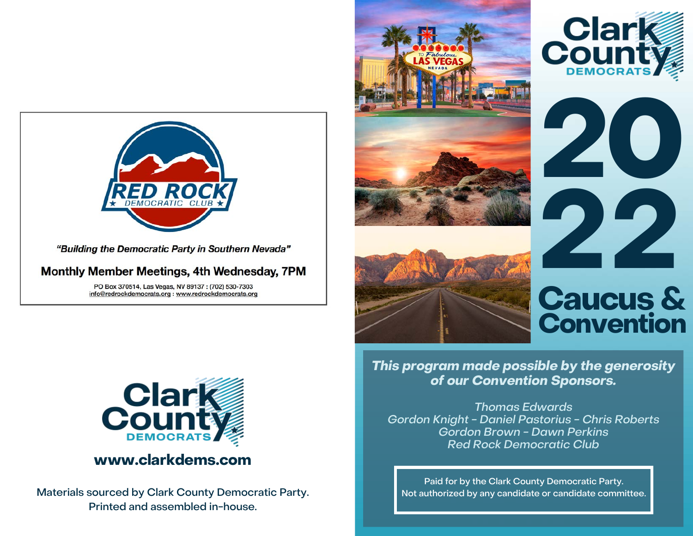

PO Box 370514, Las Vegas, NV 89137 : (702) 530-7303 info@redrockdemocrats.org : www.redrockdemocrats.org



Materials sourced by Clark County Democratic Party. Printed and assembled in-house.



**This program made possible by the generosity of our Convention Sponsors.**

Thomas Edwards Gordon Knight - Daniel Pastorius - Chris Roberts Gordon Brown - Dawn Perkins Red Rock Democratic Club

Paid for by the Clark County Democratic Party. Not authorized by any candidate or candidate committee.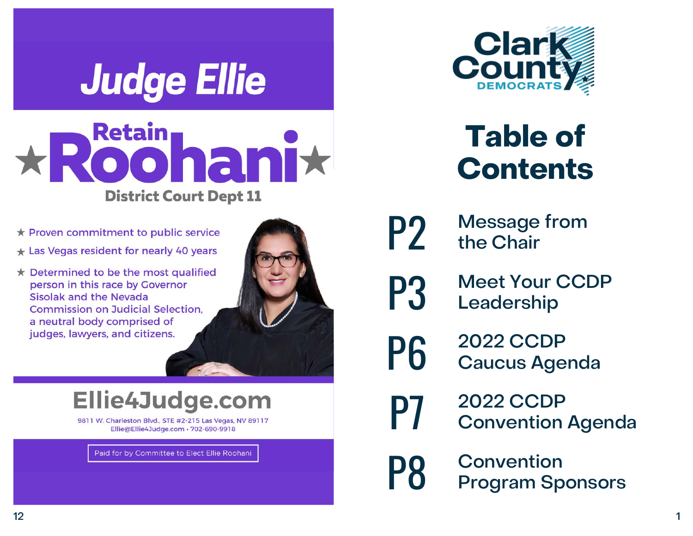# **Judge Ellie**



- ★ Proven commitment to public service
- $\star$  Las Vegas resident for nearly 40 years
- ★ Determined to be the most qualified person in this race by Governor Sisolak and the Nevada **Commission on Judicial Selection.** a neutral body comprised of judges, lawyers, and citizens.



# Ellie4Judge.com

9811 W. Charleston Blvd., STE #2-215 Las Vegas, NV 89117 Ellie@Ellie4Judge.com · 702-690-9918

Paid for by Committee to Elect Ellie Roohani



# **Table of Contents**

- 
- **P2** Message from<br>the Chair the Chair
- **P3** Meet Your CCDP<br>Leadership Leadership
- P6 2022 CCDP<br>Caucus Agenda
- P7 2022 CCDP Convention Agenda

**P8** Convention<br> **P8** Program Sponsors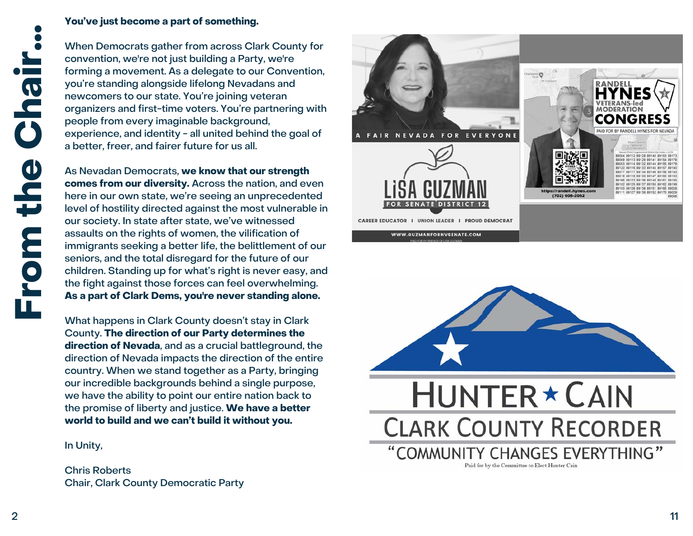#### **You've just become a part of something.**

When Democrats gather from across Clark County for convention, we're not just building a Party, we're forming a movement. As a delegate to our Convention, you're standing alongside lifelong Nevadans and newcomers to our state. You're joining veteran organizers and first-time voters. You're partnering with people from every imaginable background, experience, and identity - all united behind the goal of a better, freer, and fairer future for us all.

As Nevadan Democrats, **we know that our strength comes from our diversity.** Across the nation, and even here in our own state, we're seeing an unprecedented level of hostility directed against the most vulnerable in our society. In state after state, we've witnessed assaults on the rights of women, the vilification of immigrants seeking a better life, the belittlement of our seniors, and the total disregard for the future of our children. Standing up for what's right is never easy, and the fight against those forces can feel overwhelming. **As a part of Clark Dems, you're never standing alone.**

What happens in Clark County doesn't stay in Clark County. **The direction of our Party determines the direction of Nevada**, and as a crucial battleground, the direction of Nevada impacts the direction of the entire country. When we stand together as a Party, bringing our incredible backgrounds behind a single purpose, we have the ability to point our entire nation back to the promise of liberty and justice. **We have a better world to build and we can't build it without you.**

In Unity,

Chris Roberts Chair, Clark County Democratic Party



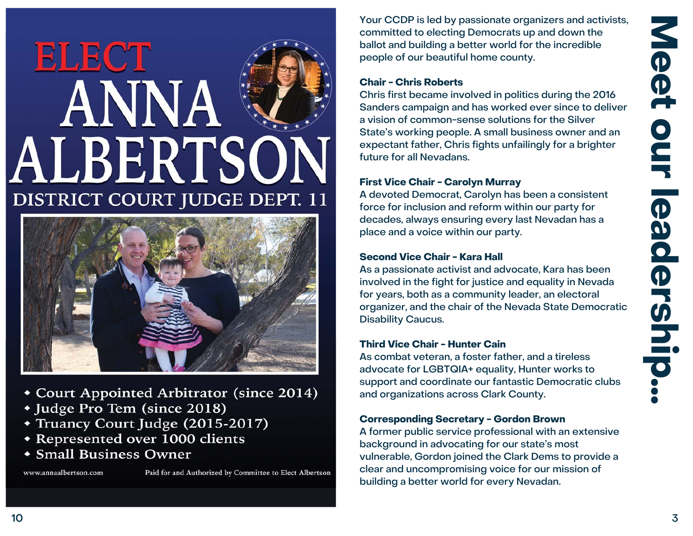# **ELECT** ANNA ALBERTSON **DISTRICT COURT JUDGE DEPT. 11**



- Court Appointed Arbitrator (since 2014)
- \* Judge Pro Tem (since 2018)
- \* Truancy Court Judge (2015-2017)
- **\* Represented over 1000 clients**
- Small Business Owner

www.annaalbertson.com

Paid for and Authorized by Committee to Elect Albertson

Your CCDP is led by passionate organizers and activists, committed to electing Democrats up and down the ballot and building a better world for the incredible people of our beautiful home county.

#### **Chair - Chris Roberts**

Chris first became involved in politics during the 2016 Sanders campaign and has worked ever since to deliver a vision of common-sense solutions for the Silver State's working people. A small business owner and an expectant father, Chris fights unfailingly for a brighter future for all Nevadans.

#### **First Vice Chair - Carolyn Murray**

A devoted Democrat, Carolyn has been a consistent force for inclusion and reform within our party for decades, always ensuring every last Nevadan has a place and a voice within our party.

#### **Second Vice Chair - Kara Hall**

As a passionate activist and advocate, Kara has been involved in the fight for justice and equality in Nevada for years, both as a community leader, an electoral organizer, and the chair of the Nevada State Democratic Disability Caucus.

#### **Third Vice Chair - Hunter Cain**

As combat veteran, a foster father, and a tireless advocate for LGBTQIA+ equality, Hunter works to support and coordinate our fantastic Democratic clubs and organizations across Clark County.

#### **Corresponding Secretary - Gordon Brown**

A former public service professional with an extensive background in advocating for our state's most vulnerable, Gordon joined the Clark Dems to provide a clear and uncompromising voice for our mission of building a better world for every Nevadan.

Meet

OUL

leadership.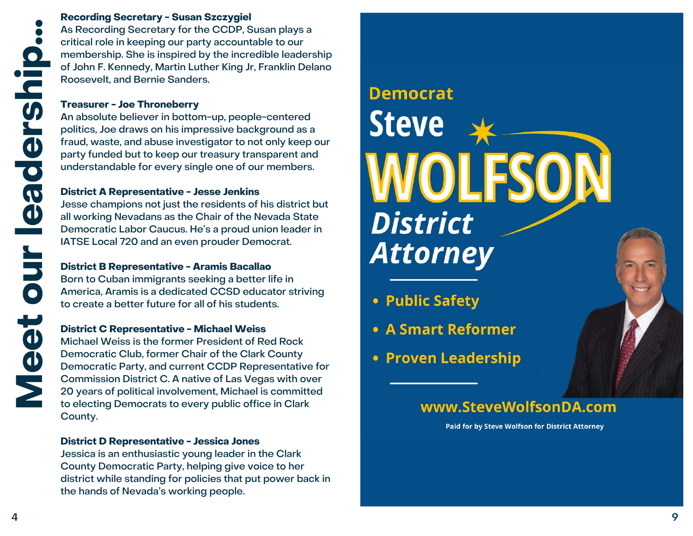#### **Recording Secretary - Susan Szczygiel**

As Recording Secretary for the CCDP, Susan plays a critical role in keeping our party accountable to our membership. She is inspired by the incredible leadership of John F. Kennedy, Martin Luther King Jr, Franklin Delano Roosevelt, and Bernie Sanders.

#### **Treasurer - Joe Throneberry**

An absolute believer in bottom-up, people-centered politics, Joe draws on his impressive background as a fraud, waste, and abuse investigator to not only keep our party funded but to keep our treasury transparent and understandable for every single one of our members.

#### **District A Representative - Jesse Jenkins**

Jesse champions not just the residents of his district but all working Nevadans as the Chair of the Nevada State Democratic Labor Caucus. He's a proud union leader in IATSE Local 720 and an even prouder Democrat.

#### **District B Representative - Aramis Bacallao**

Born to Cuban immigrants seeking a better life in America, Aramis is a dedicated CCSD educator striving to create a better future for all of his students.

#### **District C Representative - Michael Weiss**

Michael Weiss is the former President of Red Rock Democratic Club, former Chair of the Clark County Democratic Party, and current CCDP Representative for Commission District C. A native of Las Vegas with over 20 years of political involvement, Michael is committed to electing Democrats to every public office in Clark County.

#### **District D Representative - Jessica Jones**

Jessica is an enthusiastic young leader in the Clark County Democratic Party, helping give voice to her district while standing for policies that put power back in the hands of Nevada's working people.

# **Democrat Steve District Attorney**

- Public Safety
- A Smart Reformer
- Proven Leadership

### www.SteveWolfsonDA.com

Paid for by Steve Wolfson for District Attorney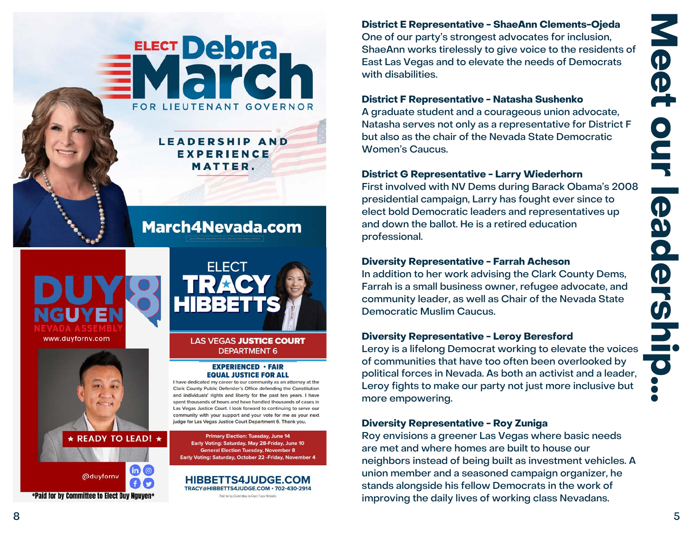

## **March4Nevada.com**

**EXPERIENCE MATTER.** 



**READY TO LEAD! ★** 





#### **LAS VEGAS JUSTICE COURT DEPARTMENT 6**

#### **EXPERIENCED · FAIR EQUAL JUSTICE FOR ALL**

I have dedicated my career to our community as an attorney at the Clark County Public Defender's Office defending the Constitution and individuals' rights and liberty for the past ten years. I have spent thousands of hours and have handled thousands of cases in Las Vegas Justice Court. I look forward to continuing to serve our community with your support and your vote for me as your next judge for Las Vegas Justice Court Department 6. Thank you.

**Primary Election: Tuesday, June 14** Early Voting: Saturday, May 28-Friday, June 10 **General Election Tuesday, November 8** Early Voting: Saturday, October 22 - Friday, November 4

**HIBBETTS4JUDGE.COM** TRACY@HIBBETTS4JUDGE.COM · 702-430-2914 Paid for by Committee to Elect Tracy Hibbetts

**District E Representative - ShaeAnn Clements-Ojeda** One of our party's strongest advocates for inclusion, ShaeAnn works tirelessly to give voice to the residents of East Las Vegas and to elevate the needs of Democrats with disabilities.

#### **District F Representative - Natasha Sushenko**

A graduate student and a courageous union advocate, Natasha serves not only as a representative for District F but also as the chair of the Nevada State Democratic Women's Caucus.

#### **District G Representative - Larry Wiederhorn**

First involved with NV Dems during Barack Obama's 2008 presidential campaign, Larry has fought ever since to elect bold Democratic leaders and representatives up and down the ballot. He is a retired education professional.

#### **Diversity Representative - Farrah Acheson**

In addition to her work advising the Clark County Dems, Farrah is a small business owner, refugee advocate, and community leader, as well as Chair of the Nevada State Democratic Muslim Caucus.

#### **Diversity Representative - Leroy Beresford**

Leroy is a lifelong Democrat working to elevate the voices of communities that have too often been overlooked by political forces in Nevada. As both an activist and a leader, Leroy fights to make our party not just more inclusive but more empowering.

#### **Diversity Representative - Roy Zuniga**

Roy envisions a greener Las Vegas where basic needs are met and where homes are built to house our neighbors instead of being built as investment vehicles. A union member and a seasoned campaign organizer, he stands alongside his fellow Democrats in the work of improving the daily lives of working class Nevadans.